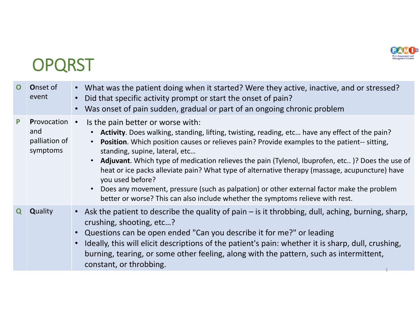

## **OPQRST**

| $\mathbf{O}$ | <b>Onset of</b><br>event                                 | • What was the patient doing when it started? Were they active, inactive, and or stressed?<br>Did that specific activity prompt or start the onset of pain?<br>Was onset of pain sudden, gradual or part of an ongoing chronic problem                                                                                                                                                                                                                                                                                                                                                                                                                                                                 |
|--------------|----------------------------------------------------------|--------------------------------------------------------------------------------------------------------------------------------------------------------------------------------------------------------------------------------------------------------------------------------------------------------------------------------------------------------------------------------------------------------------------------------------------------------------------------------------------------------------------------------------------------------------------------------------------------------------------------------------------------------------------------------------------------------|
|              | <b>Provocation •</b><br>and<br>palliation of<br>symptoms | Is the pain better or worse with:<br>Activity. Does walking, standing, lifting, twisting, reading, etc have any effect of the pain?<br>• Position. Which position causes or relieves pain? Provide examples to the patient-- sitting,<br>standing, supine, lateral, etc<br>• <b>Adjuvant</b> . Which type of medication relieves the pain (Tylenol, Ibuprofen, etc)? Does the use of<br>heat or ice packs alleviate pain? What type of alternative therapy (massage, acupuncture) have<br>you used before?<br>Does any movement, pressure (such as palpation) or other external factor make the problem<br>$\bullet$<br>better or worse? This can also include whether the symptoms relieve with rest. |
| Q            | <b>Quality</b>                                           | • Ask the patient to describe the quality of pain – is it throbbing, dull, aching, burning, sharp,<br>crushing, shooting, etc?<br>• Questions can be open ended "Can you describe it for me?" or leading<br>Ideally, this will elicit descriptions of the patient's pain: whether it is sharp, dull, crushing,<br>burning, tearing, or some other feeling, along with the pattern, such as intermittent,<br>constant, or throbbing.                                                                                                                                                                                                                                                                    |